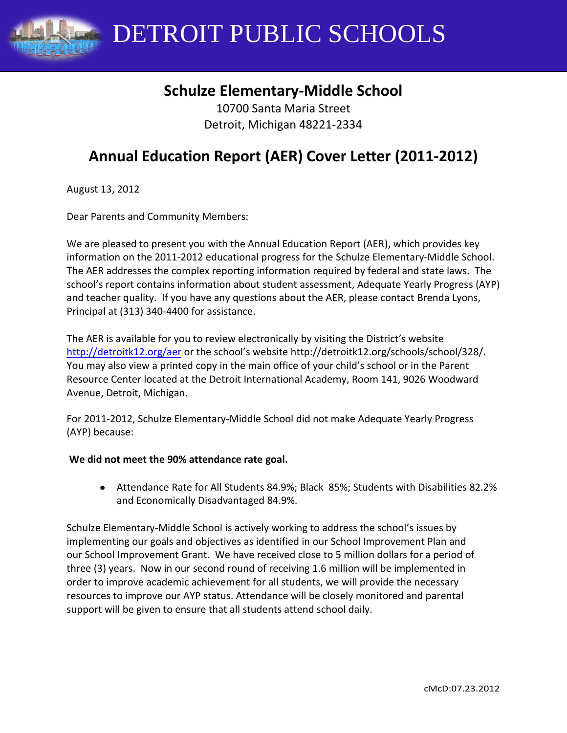

# **Schulze Elementary-Middle School**

10700 Santa Maria Street Detroit, Michigan 48221-2334

# **Annual Education Report (AER) Cover Letter (2011-2012)**

August 13, 2012

Dear Parents and Community Members:

We are pleased to present you with the Annual Education Report (AER), which provides key information on the 2011-2012 educational progress for the Schulze Elementary-Middle School. The AER addresses the complex reporting information required by federal and state laws. The school's report contains information about student assessment, Adequate Yearly Progress (AYP) and teacher quality. If you have any questions about the AER, please contact Brenda Lyons, Principal at (313) 340-4400 for assistance.

The AER is available for you to review electronically by visiting the District's website <http://detroitk12.org/aer> or the school's website http://detroitk12.org/schools/school/328/. You may also view a printed copy in the main office of your child's school or in the Parent Resource Center located at the Detroit International Academy, Room 141, 9026 Woodward Avenue, Detroit, Michigan.

For 2011-2012, Schulze Elementary-Middle School did not make Adequate Yearly Progress (AYP) because:

#### **We did not meet the 90% attendance rate goal.**

Attendance Rate for All Students 84.9%; Black 85%; Students with Disabilities 82.2% and Economically Disadvantaged 84.9%.

Schulze Elementary-Middle School is actively working to address the school's issues by implementing our goals and objectives as identified in our School Improvement Plan and our School Improvement Grant. We have received close to 5 million dollars for a period of three (3) years. Now in our second round of receiving 1.6 million will be implemented in order to improve academic achievement for all students, we will provide the necessary resources to improve our AYP status. Attendance will be closely monitored and parental support will be given to ensure that all students attend school daily.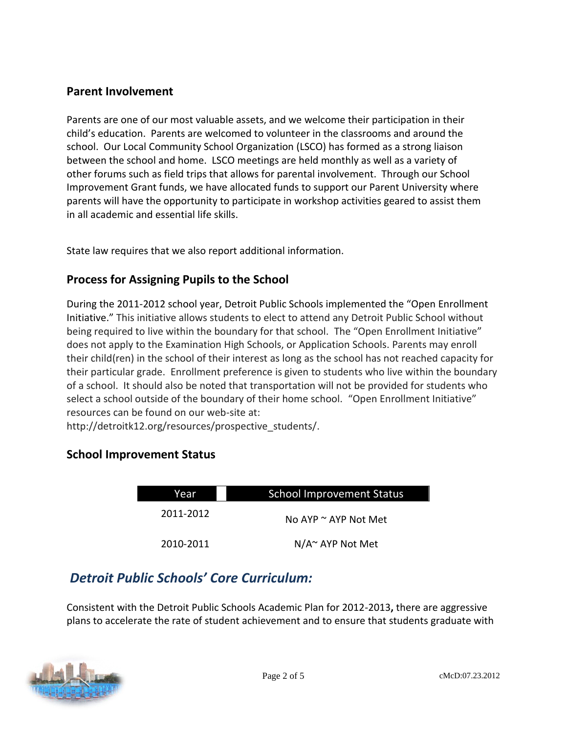### **Parent Involvement**

Parents are one of our most valuable assets, and we welcome their participation in their child's education. Parents are welcomed to volunteer in the classrooms and around the school. Our Local Community School Organization (LSCO) has formed as a strong liaison between the school and home. LSCO meetings are held monthly as well as a variety of other forums such as field trips that allows for parental involvement. Through our School Improvement Grant funds, we have allocated funds to support our Parent University where parents will have the opportunity to participate in workshop activities geared to assist them in all academic and essential life skills.

State law requires that we also report additional information.

# **Process for Assigning Pupils to the School**

During the 2011-2012 school year, Detroit Public Schools implemented the "Open Enrollment Initiative." This initiative allows students to elect to attend any Detroit Public School without being required to live within the boundary for that school. The "Open Enrollment Initiative" does not apply to the Examination High Schools, or Application Schools. Parents may enroll their child(ren) in the school of their interest as long as the school has not reached capacity for their particular grade. Enrollment preference is given to students who live within the boundary of a school. It should also be noted that transportation will not be provided for students who select a school outside of the boundary of their home school. "Open Enrollment Initiative" resources can be found on our web-site at:

http://detroitk12.org/resources/prospective\_students/.

## **School Improvement Status**

| Year      | <b>School Improvement Status</b> |  |
|-----------|----------------------------------|--|
| 2011-2012 | No AYP $\sim$ AYP Not Met        |  |
| 2010-2011 | $N/A^{\sim}$ AYP Not Met         |  |

# *Detroit Public Schools' Core Curriculum:*

Consistent with the Detroit Public Schools Academic Plan for 2012-2013**,** there are aggressive plans to accelerate the rate of student achievement and to ensure that students graduate with

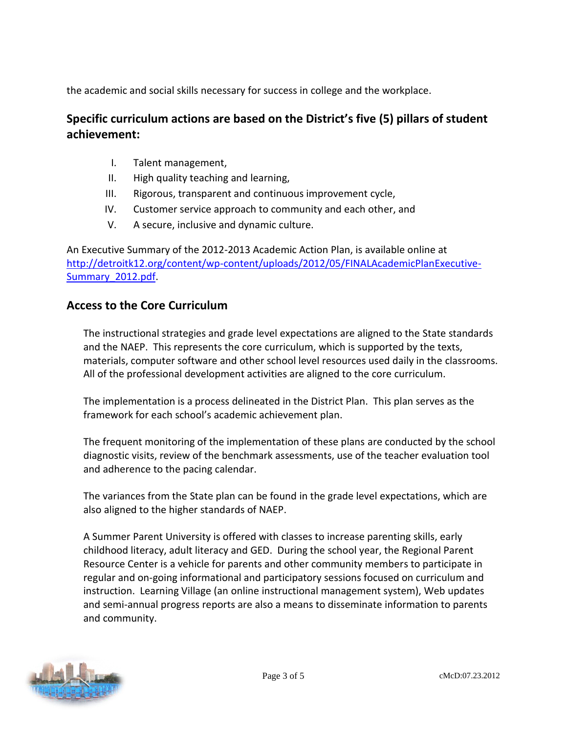the academic and social skills necessary for success in college and the workplace.

# **Specific curriculum actions are based on the District's five (5) pillars of student achievement:**

- I. Talent management,
- II. High quality teaching and learning,
- III. Rigorous, transparent and continuous improvement cycle,
- IV. Customer service approach to community and each other, and
- V. A secure, inclusive and dynamic culture.

An Executive Summary of the 2012-2013 Academic Action Plan, is available online at [http://detroitk12.org/content/wp-content/uploads/2012/05/FINALAcademicPlanExecutive-](http://detroitk12.org/content/wp-content/uploads/2012/05/FINALAcademicPlanExecutive-Summary_2012.pdf)[Summary\\_2012.pdf.](http://detroitk12.org/content/wp-content/uploads/2012/05/FINALAcademicPlanExecutive-Summary_2012.pdf)

## **Access to the Core Curriculum**

The instructional strategies and grade level expectations are aligned to the State standards and the NAEP. This represents the core curriculum, which is supported by the texts, materials, computer software and other school level resources used daily in the classrooms. All of the professional development activities are aligned to the core curriculum.

The implementation is a process delineated in the District Plan. This plan serves as the framework for each school's academic achievement plan.

The frequent monitoring of the implementation of these plans are conducted by the school diagnostic visits, review of the benchmark assessments, use of the teacher evaluation tool and adherence to the pacing calendar.

The variances from the State plan can be found in the grade level expectations, which are also aligned to the higher standards of NAEP.

A Summer Parent University is offered with classes to increase parenting skills, early childhood literacy, adult literacy and GED. During the school year, the Regional Parent Resource Center is a vehicle for parents and other community members to participate in regular and on-going informational and participatory sessions focused on curriculum and instruction. Learning Village (an online instructional management system), Web updates and semi-annual progress reports are also a means to disseminate information to parents and community.

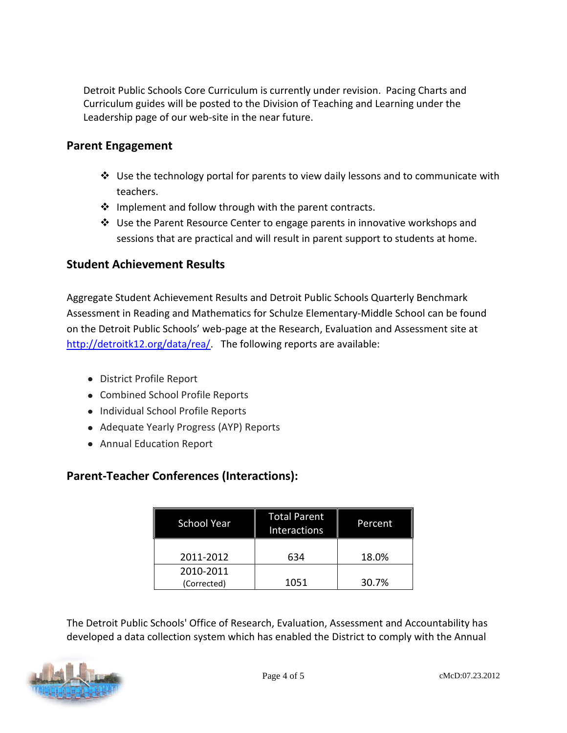Detroit Public Schools Core Curriculum is currently under revision. Pacing Charts and Curriculum guides will be posted to the Division of Teaching and Learning under the Leadership page of our web-site in the near future.

### **Parent Engagement**

- $\cdot \cdot$  Use the technology portal for parents to view daily lessons and to communicate with teachers.
- $\cdot$  Implement and follow through with the parent contracts.
- $\div$  Use the Parent Resource Center to engage parents in innovative workshops and sessions that are practical and will result in parent support to students at home.

### **Student Achievement Results**

Aggregate Student Achievement Results and Detroit Public Schools Quarterly Benchmark Assessment in Reading and Mathematics for Schulze Elementary-Middle School can be found on the Detroit Public Schools' web-page at the Research, Evaluation and Assessment site at [http://detroitk12.org/data/rea/.](http://detroitk12.org/data/rea/) The following reports are available:

- District Profile Report
- Combined School Profile Reports
- Individual School Profile Reports
- Adequate Yearly Progress (AYP) Reports
- Annual Education Report

## **Parent-Teacher Conferences (Interactions):**

| <b>School Year</b>       | <b>Total Parent</b><br>Interactions | Percent |
|--------------------------|-------------------------------------|---------|
| 2011-2012                | 634                                 | 18.0%   |
| 2010-2011<br>(Corrected) | 1051                                | 30.7%   |

The Detroit Public Schools' Office of Research, Evaluation, Assessment and Accountability has developed a data collection system which has enabled the District to comply with the Annual